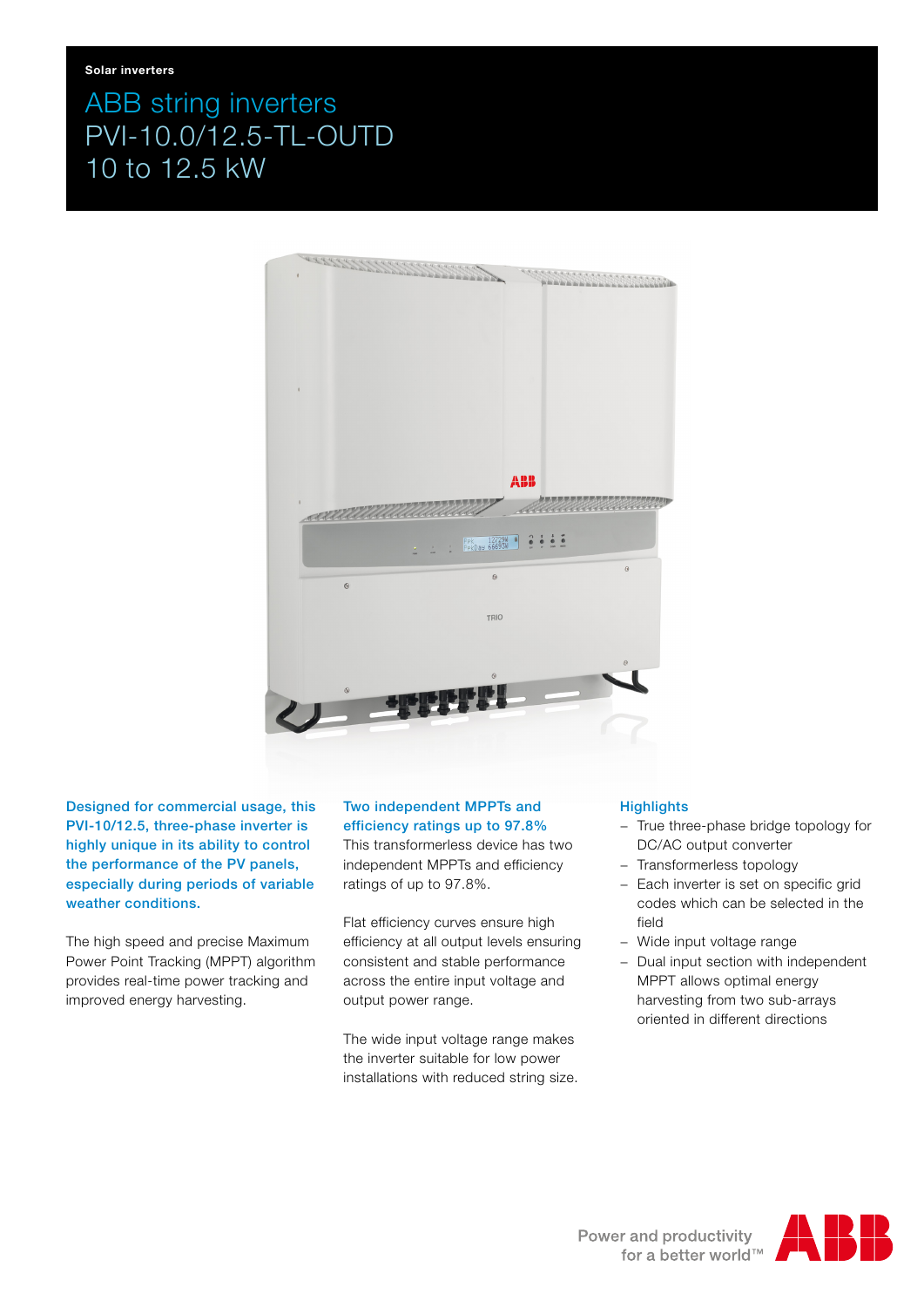# ABB string inverters PVI-10.0/12.5-TL-OUTD 10 to 12.5 kW



Designed for commercial usage, this PVI-10/12.5, three-phase inverter is highly unique in its ability to control the performance of the PV panels, especially during periods of variable weather conditions.

The high speed and precise Maximum Power Point Tracking (MPPT) algorithm provides real-time power tracking and improved energy harvesting.

## Two independent MPPTs and efficiency ratings up to 97.8%

This transformerless device has two independent MPPTs and efficiency ratings of up to 97.8%.

Flat efficiency curves ensure high efficiency at all output levels ensuring consistent and stable performance across the entire input voltage and output power range.

The wide input voltage range makes the inverter suitable for low power installations with reduced string size.

### **Highlights**

- − True three-phase bridge topology for DC/AC output converter
- − Transformerless topology
- − Each inverter is set on specific grid codes which can be selected in the field
- − Wide input voltage range
- − Dual input section with independent MPPT allows optimal energy harvesting from two sub-arrays oriented in different directions

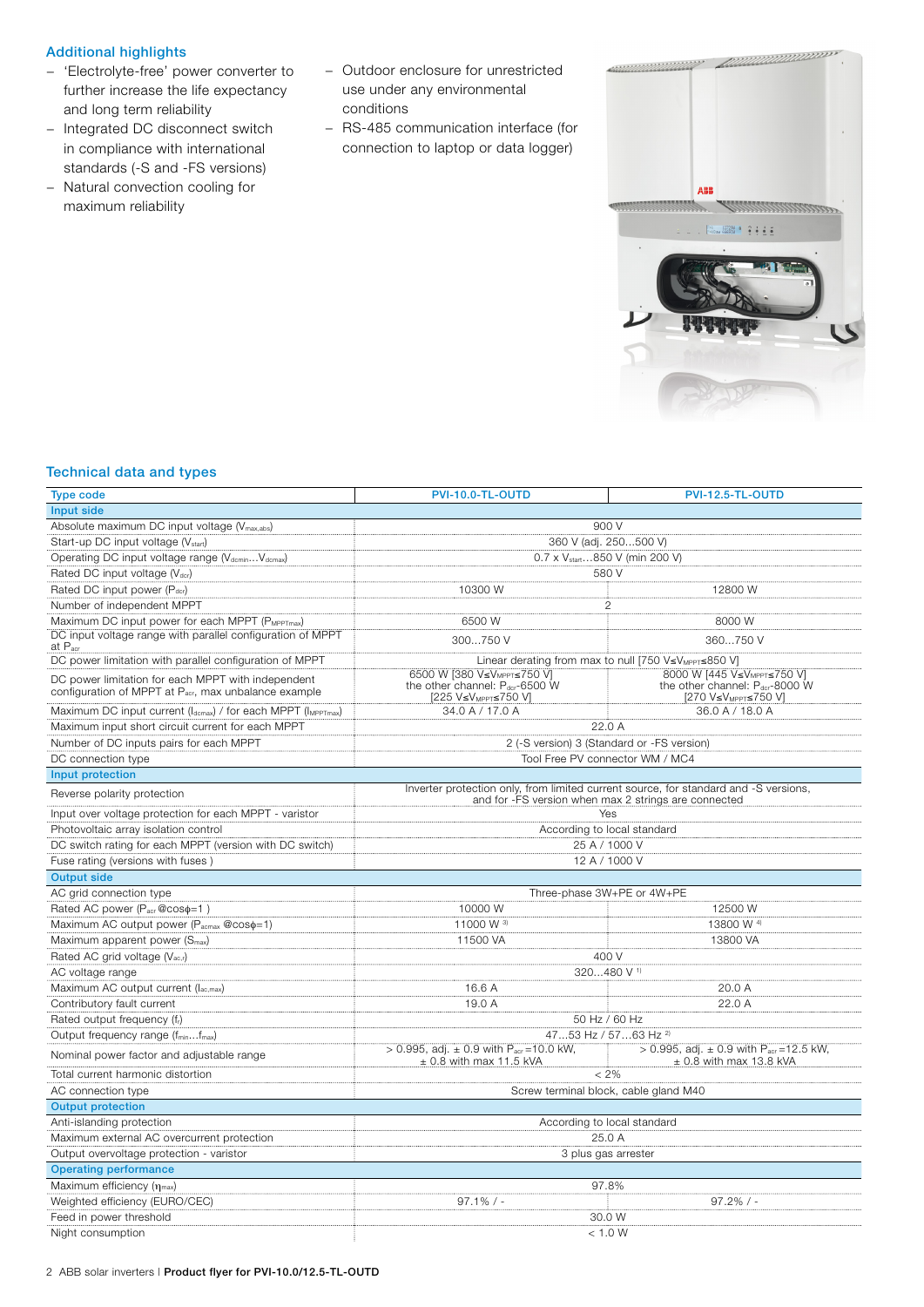#### Additional highlights

- − 'Electrolyte-free' power converter to further increase the life expectancy and long term reliability
- − Integrated DC disconnect switch in compliance with international standards (-S and -FS versions)
- − Natural convection cooling for maximum reliability
- − Outdoor enclosure for unrestricted use under any environmental conditions
- − RS-485 communication interface (for connection to laptop or data logger)



#### Technical data and types

| <b>Type code</b>                                                                                           | PVI-10.0-TL-OUTD                                                                                                                             | PVI-12.5-TL-OUTD                                                                                                           |  |  |
|------------------------------------------------------------------------------------------------------------|----------------------------------------------------------------------------------------------------------------------------------------------|----------------------------------------------------------------------------------------------------------------------------|--|--|
| Input side                                                                                                 |                                                                                                                                              |                                                                                                                            |  |  |
| Absolute maximum DC input voltage (V <sub>max,abs</sub> )                                                  | 900 V                                                                                                                                        |                                                                                                                            |  |  |
| Start-up DC input voltage (V <sub>start</sub> )                                                            | 360 V (adj. 250500 V)                                                                                                                        |                                                                                                                            |  |  |
| Operating DC input voltage range (V <sub>dcmin</sub> V <sub>dcmax</sub> )                                  | 0.7 x V <sub>start</sub> 850 V (min 200 V)                                                                                                   |                                                                                                                            |  |  |
| Rated DC input voltage (V <sub>dcr</sub> )                                                                 | 580 V                                                                                                                                        |                                                                                                                            |  |  |
| Rated DC input power (Pdcr)                                                                                | 10300 W                                                                                                                                      | 12800 W                                                                                                                    |  |  |
| Number of independent MPPT                                                                                 | $\overline{c}$                                                                                                                               |                                                                                                                            |  |  |
| Maximum DC input power for each MPPT (PMPPTmax)                                                            | 6500 W                                                                                                                                       | 8000 W                                                                                                                     |  |  |
| DC input voltage range with parallel configuration of MPPT<br>at P <sub>acr</sub>                          | 300750 V                                                                                                                                     | 360750 V                                                                                                                   |  |  |
| DC power limitation with parallel configuration of MPPT                                                    | Linear derating from max to null [750 V≤V <sub>MPPT</sub> ≤850 V]                                                                            |                                                                                                                            |  |  |
| DC power limitation for each MPPT with independent<br>configuration of MPPT at Pacr, max unbalance example | 6500 W [380 V≤V <sub>MPPT</sub> ≤750 V]<br>the other channel: Pdcr-6500 W<br>[225 V≤V <sub>MPPT</sub> ≤750 V]                                | 8000 W [445 V≤V <sub>MPPT</sub> ≤750 V]<br>the other channel: $P_{\text{der}}$ -8000 W<br>[270 V≤V <sub>MPPT</sub> ≤750 V] |  |  |
| Maximum DC input current (Idcmax) / for each MPPT (IMPPTmax)                                               | 34.0 A / 17.0 A                                                                                                                              | 36.0 A / 18.0 A                                                                                                            |  |  |
| Maximum input short circuit current for each MPPT                                                          | 22.0A                                                                                                                                        |                                                                                                                            |  |  |
| Number of DC inputs pairs for each MPPT                                                                    | 2 (-S version) 3 (Standard or -FS version)                                                                                                   |                                                                                                                            |  |  |
| DC connection type                                                                                         | Tool Free PV connector WM / MC4                                                                                                              |                                                                                                                            |  |  |
| Input protection                                                                                           |                                                                                                                                              |                                                                                                                            |  |  |
| Reverse polarity protection                                                                                | Inverter protection only, from limited current source, for standard and -S versions,<br>and for -FS version when max 2 strings are connected |                                                                                                                            |  |  |
| Input over voltage protection for each MPPT - varistor                                                     | Yes                                                                                                                                          |                                                                                                                            |  |  |
| Photovoltaic array isolation control                                                                       | According to local standard                                                                                                                  |                                                                                                                            |  |  |
| DC switch rating for each MPPT (version with DC switch)                                                    | 25 A / 1000 V                                                                                                                                |                                                                                                                            |  |  |
| Fuse rating (versions with fuses)                                                                          | 12 A / 1000 V                                                                                                                                |                                                                                                                            |  |  |
| <b>Output side</b>                                                                                         |                                                                                                                                              |                                                                                                                            |  |  |
| AC grid connection type                                                                                    | Three-phase 3W+PE or 4W+PE                                                                                                                   |                                                                                                                            |  |  |
| Rated AC power (Pacr@coso=1)                                                                               | 10000 W                                                                                                                                      | 12500 W                                                                                                                    |  |  |
| Maximum AC output power (Pacmax @coso=1)                                                                   | 11000 W 3)                                                                                                                                   | 13800 W <sup>4)</sup>                                                                                                      |  |  |
| Maximum apparent power (S <sub>max</sub> )                                                                 | 11500 VA                                                                                                                                     | 13800 VA                                                                                                                   |  |  |
| Rated AC grid voltage (Vac,r)                                                                              | 400 V                                                                                                                                        |                                                                                                                            |  |  |
| AC voltage range                                                                                           | 320480 V <sup>1)</sup>                                                                                                                       |                                                                                                                            |  |  |
| Maximum AC output current (lac,max)                                                                        | 16.6 A                                                                                                                                       | 20.0 A                                                                                                                     |  |  |
| Contributory fault current                                                                                 | 19.0 A                                                                                                                                       | 22.0 A                                                                                                                     |  |  |
| Rated output frequency (fr)                                                                                | 50 Hz / 60 Hz                                                                                                                                |                                                                                                                            |  |  |
| Output frequency range (fminfmax)                                                                          | 4753 Hz / 5763 Hz <sup>2)</sup>                                                                                                              |                                                                                                                            |  |  |
| Nominal power factor and adjustable range                                                                  | > 0.995, adj. $\pm$ 0.9 with $P_{\text{acr}} = 10.0$ kW,<br>$\pm$ 0.8 with max 11.5 kVA                                                      | > 0.995, adj. $\pm$ 0.9 with P <sub>acr</sub> = 12.5 kW,<br>$\pm$ 0.8 with max 13.8 kVA                                    |  |  |
| Total current harmonic distortion                                                                          | $< 2\%$                                                                                                                                      |                                                                                                                            |  |  |
| AC connection type                                                                                         | Screw terminal block, cable gland M40                                                                                                        |                                                                                                                            |  |  |
| <b>Output protection</b>                                                                                   |                                                                                                                                              |                                                                                                                            |  |  |
| Anti-islanding protection                                                                                  | According to local standard                                                                                                                  |                                                                                                                            |  |  |
| Maximum external AC overcurrent protection                                                                 | 25.0 A                                                                                                                                       |                                                                                                                            |  |  |
| Output overvoltage protection - varistor                                                                   | 3 plus gas arrester                                                                                                                          |                                                                                                                            |  |  |
| <b>Operating performance</b>                                                                               |                                                                                                                                              |                                                                                                                            |  |  |
| Maximum efficiency (nmax)                                                                                  | 97.8%                                                                                                                                        |                                                                                                                            |  |  |
| Weighted efficiency (EURO/CEC)                                                                             | $97.1\%$ / -                                                                                                                                 | $97.2\%$ / -                                                                                                               |  |  |
| Feed in power threshold                                                                                    | 30.0 W                                                                                                                                       |                                                                                                                            |  |  |
| Night consumption                                                                                          | < 1.0 W                                                                                                                                      |                                                                                                                            |  |  |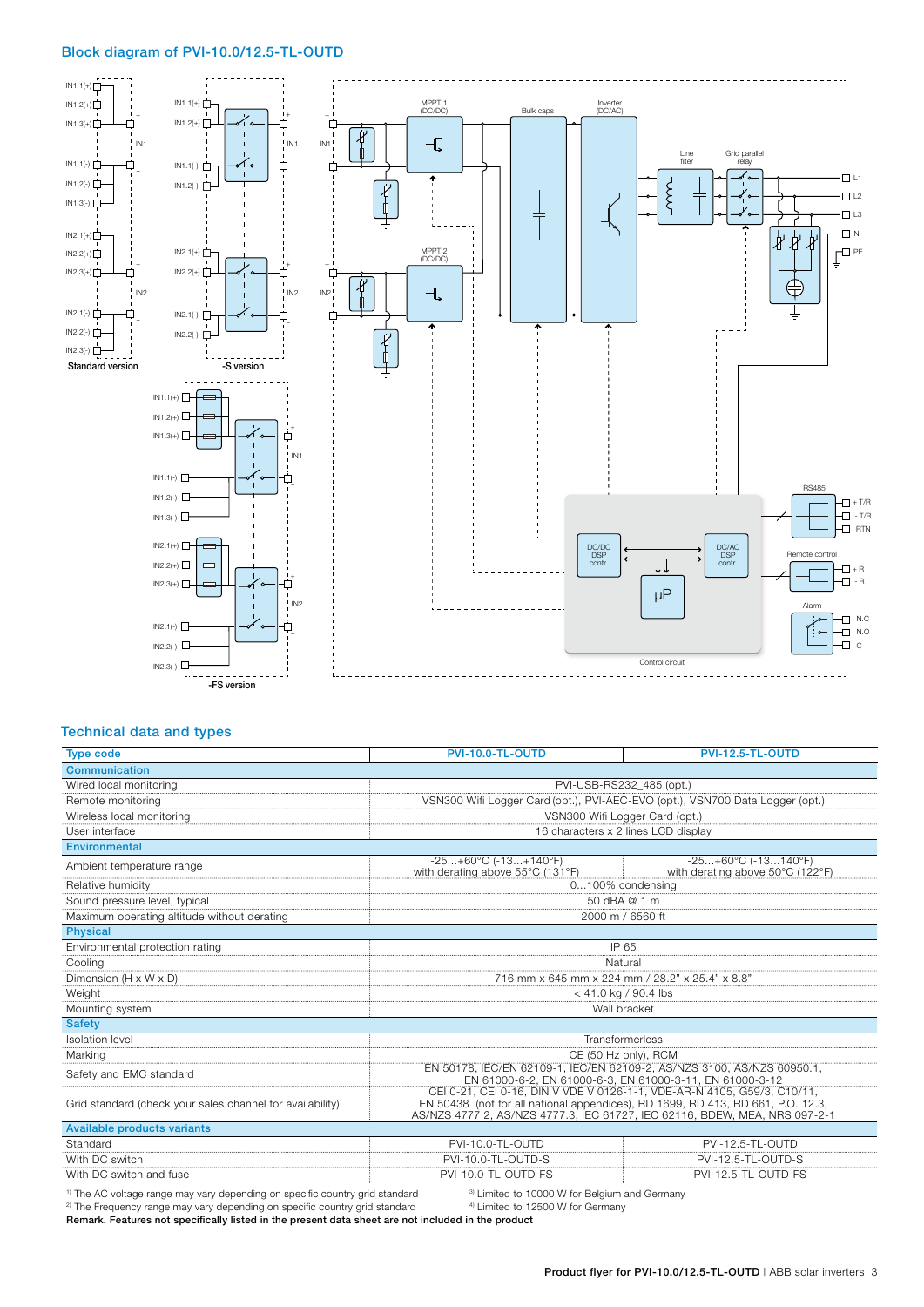#### Block diagram of PVI-10.0/12.5-TL-OUTD



#### Technical data and types

| <b>Type code</b>                                          | PVI-10.0-TL-OUTD                                                                                                                                                                                                                         | <b>PVI-12.5-TL-OUTD</b>                                   |
|-----------------------------------------------------------|------------------------------------------------------------------------------------------------------------------------------------------------------------------------------------------------------------------------------------------|-----------------------------------------------------------|
| <b>Communication</b>                                      |                                                                                                                                                                                                                                          |                                                           |
| Wired local monitoring                                    | PVI-USB-RS232 485 (opt.)                                                                                                                                                                                                                 |                                                           |
| Remote monitoring                                         | VSN300 Wifi Logger Card (opt.), PVI-AEC-EVO (opt.), VSN700 Data Logger (opt.)                                                                                                                                                            |                                                           |
| Wireless local monitoring                                 | VSN300 Wifi Logger Card (opt.)                                                                                                                                                                                                           |                                                           |
| User interface                                            | 16 characters x 2 lines LCD display                                                                                                                                                                                                      |                                                           |
| <b>Environmental</b>                                      |                                                                                                                                                                                                                                          |                                                           |
| Ambient temperature range                                 | $-25+60^{\circ}C (-13+140^{\circ}F)$<br>with derating above 55°C (131°F)                                                                                                                                                                 | $-25+60°C (-13140°F)$<br>with derating above 50°C (122°F) |
| Relative humidity                                         | 0100% condensing                                                                                                                                                                                                                         |                                                           |
| Sound pressure level, typical                             | 50 dBA @ 1 m                                                                                                                                                                                                                             |                                                           |
| Maximum operating altitude without derating               | 2000 m / 6560 ft                                                                                                                                                                                                                         |                                                           |
| <b>Physical</b>                                           |                                                                                                                                                                                                                                          |                                                           |
| Environmental protection rating                           | IP 65                                                                                                                                                                                                                                    |                                                           |
| Cooling                                                   | Natural                                                                                                                                                                                                                                  |                                                           |
| Dimension (H x W x D)                                     | 716 mm x 645 mm x 224 mm / 28.2" x 25.4" x 8.8"                                                                                                                                                                                          |                                                           |
| Weight                                                    | $<$ 41.0 kg / 90.4 lbs                                                                                                                                                                                                                   |                                                           |
| Mounting system                                           | Wall bracket                                                                                                                                                                                                                             |                                                           |
| <b>Safety</b>                                             |                                                                                                                                                                                                                                          |                                                           |
| <b>Isolation level</b>                                    | Transformerless                                                                                                                                                                                                                          |                                                           |
| Marking                                                   | CE (50 Hz only), RCM                                                                                                                                                                                                                     |                                                           |
| Safety and EMC standard                                   | EN 50178, IEC/EN 62109-1, IEC/EN 62109-2, AS/NZS 3100, AS/NZS 60950.1,<br>EN 61000-6-2, EN 61000-6-3, EN 61000-3-11, EN 61000-3-12                                                                                                       |                                                           |
| Grid standard (check your sales channel for availability) | CEI 0-21, CEI 0-16, DIN V VDE V 0126-1-1, VDE-AR-N 4105, G59/3, C10/11,<br>EN 50438 (not for all national appendices), RD 1699, RD 413, RD 661, P.O. 12.3,<br>AS/NZS 4777.2, AS/NZS 4777.3, IEC 61727, IEC 62116, BDEW, MEA, NRS 097-2-1 |                                                           |
| <b>Available products variants</b>                        |                                                                                                                                                                                                                                          |                                                           |
| Standard                                                  | PVI-10.0-TL-OUTD                                                                                                                                                                                                                         | PVI-12.5-TL-OUTD                                          |
| With DC switch                                            | PVI-10.0-TL-OUTD-S                                                                                                                                                                                                                       | PVI-12.5-TL-OUTD-S                                        |
| With DC switch and fuse                                   | PVI-10.0-TL-OUTD-FS                                                                                                                                                                                                                      | PVI-12.5-TL-OUTD-FS                                       |

<sup>1)</sup> The AC voltage range may vary depending on specific country grid standard <sup>3)</sup> Limited to 10000 W for Belgium and Germany <sup>2)</sup> The Frequency range may vary depending on specific country grid standard <sup>4)</sup> Limited to

<sup>2)</sup> The Frequency range may vary depending on specific country grid standard Remark. Features not specifically listed in the present data sheet are not included in the product